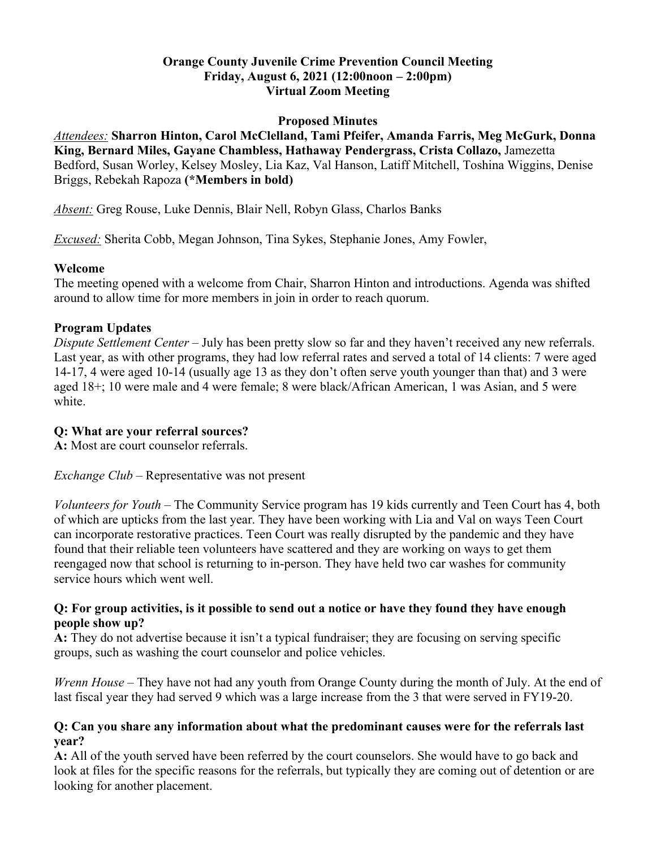### **Orange County Juvenile Crime Prevention Council Meeting Friday, August 6, 2021 (12:00noon – 2:00pm) Virtual Zoom Meeting**

#### **Proposed Minutes**

*Attendees:* **Sharron Hinton, Carol McClelland, Tami Pfeifer, Amanda Farris, Meg McGurk, Donna King, Bernard Miles, Gayane Chambless, Hathaway Pendergrass, Crista Collazo,** Jamezetta Bedford, Susan Worley, Kelsey Mosley, Lia Kaz, Val Hanson, Latiff Mitchell, Toshina Wiggins, Denise Briggs, Rebekah Rapoza **(\*Members in bold)**

*Absent:* Greg Rouse, Luke Dennis, Blair Nell, Robyn Glass, Charlos Banks

*Excused:* Sherita Cobb, Megan Johnson, Tina Sykes, Stephanie Jones, Amy Fowler,

#### **Welcome**

The meeting opened with a welcome from Chair, Sharron Hinton and introductions. Agenda was shifted around to allow time for more members in join in order to reach quorum.

## **Program Updates**

*Dispute Settlement Center* – July has been pretty slow so far and they haven't received any new referrals. Last year, as with other programs, they had low referral rates and served a total of 14 clients: 7 were aged 14-17, 4 were aged 10-14 (usually age 13 as they don't often serve youth younger than that) and 3 were aged 18+; 10 were male and 4 were female; 8 were black/African American, 1 was Asian, and 5 were white.

## **Q: What are your referral sources?**

**A:** Most are court counselor referrals.

*Exchange Club* – Representative was not present

*Volunteers for Youth* – The Community Service program has 19 kids currently and Teen Court has 4, both of which are upticks from the last year. They have been working with Lia and Val on ways Teen Court can incorporate restorative practices. Teen Court was really disrupted by the pandemic and they have found that their reliable teen volunteers have scattered and they are working on ways to get them reengaged now that school is returning to in-person. They have held two car washes for community service hours which went well.

### **Q: For group activities, is it possible to send out a notice or have they found they have enough people show up?**

**A:** They do not advertise because it isn't a typical fundraiser; they are focusing on serving specific groups, such as washing the court counselor and police vehicles.

*Wrenn House* – They have not had any youth from Orange County during the month of July. At the end of last fiscal year they had served 9 which was a large increase from the 3 that were served in FY19-20.

### **Q: Can you share any information about what the predominant causes were for the referrals last year?**

**A:** All of the youth served have been referred by the court counselors. She would have to go back and look at files for the specific reasons for the referrals, but typically they are coming out of detention or are looking for another placement.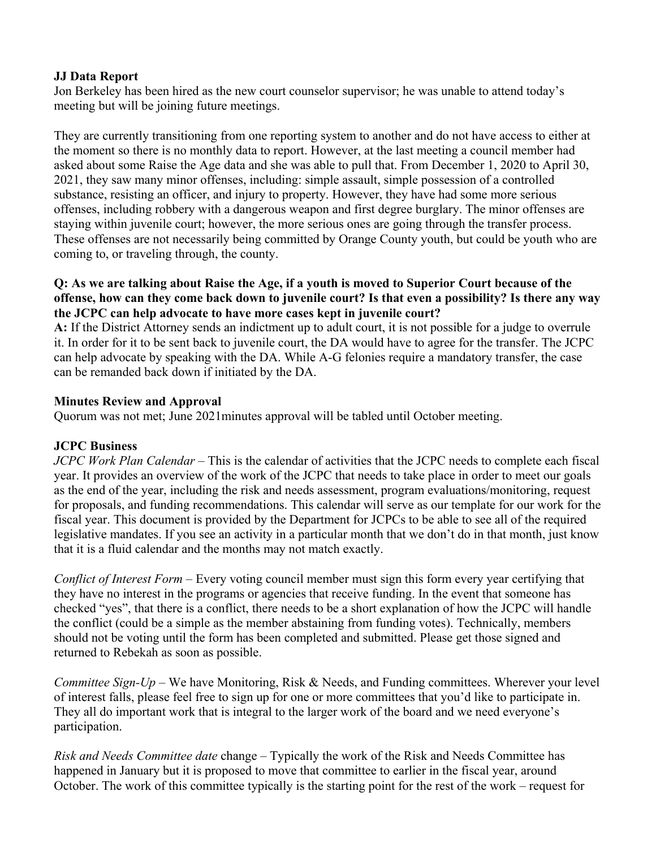### **JJ Data Report**

Jon Berkeley has been hired as the new court counselor supervisor; he was unable to attend today's meeting but will be joining future meetings.

They are currently transitioning from one reporting system to another and do not have access to either at the moment so there is no monthly data to report. However, at the last meeting a council member had asked about some Raise the Age data and she was able to pull that. From December 1, 2020 to April 30, 2021, they saw many minor offenses, including: simple assault, simple possession of a controlled substance, resisting an officer, and injury to property. However, they have had some more serious offenses, including robbery with a dangerous weapon and first degree burglary. The minor offenses are staying within juvenile court; however, the more serious ones are going through the transfer process. These offenses are not necessarily being committed by Orange County youth, but could be youth who are coming to, or traveling through, the county.

### **Q: As we are talking about Raise the Age, if a youth is moved to Superior Court because of the offense, how can they come back down to juvenile court? Is that even a possibility? Is there any way the JCPC can help advocate to have more cases kept in juvenile court?**

**A:** If the District Attorney sends an indictment up to adult court, it is not possible for a judge to overrule it. In order for it to be sent back to juvenile court, the DA would have to agree for the transfer. The JCPC can help advocate by speaking with the DA. While A-G felonies require a mandatory transfer, the case can be remanded back down if initiated by the DA.

## **Minutes Review and Approval**

Quorum was not met; June 2021minutes approval will be tabled until October meeting.

## **JCPC Business**

*JCPC Work Plan Calendar* – This is the calendar of activities that the JCPC needs to complete each fiscal year. It provides an overview of the work of the JCPC that needs to take place in order to meet our goals as the end of the year, including the risk and needs assessment, program evaluations/monitoring, request for proposals, and funding recommendations. This calendar will serve as our template for our work for the fiscal year. This document is provided by the Department for JCPCs to be able to see all of the required legislative mandates. If you see an activity in a particular month that we don't do in that month, just know that it is a fluid calendar and the months may not match exactly.

*Conflict of Interest Form* – Every voting council member must sign this form every year certifying that they have no interest in the programs or agencies that receive funding. In the event that someone has checked "yes", that there is a conflict, there needs to be a short explanation of how the JCPC will handle the conflict (could be a simple as the member abstaining from funding votes). Technically, members should not be voting until the form has been completed and submitted. Please get those signed and returned to Rebekah as soon as possible.

*Committee Sign-Up* – We have Monitoring, Risk & Needs, and Funding committees. Wherever your level of interest falls, please feel free to sign up for one or more committees that you'd like to participate in. They all do important work that is integral to the larger work of the board and we need everyone's participation.

*Risk and Needs Committee date* change – Typically the work of the Risk and Needs Committee has happened in January but it is proposed to move that committee to earlier in the fiscal year, around October. The work of this committee typically is the starting point for the rest of the work – request for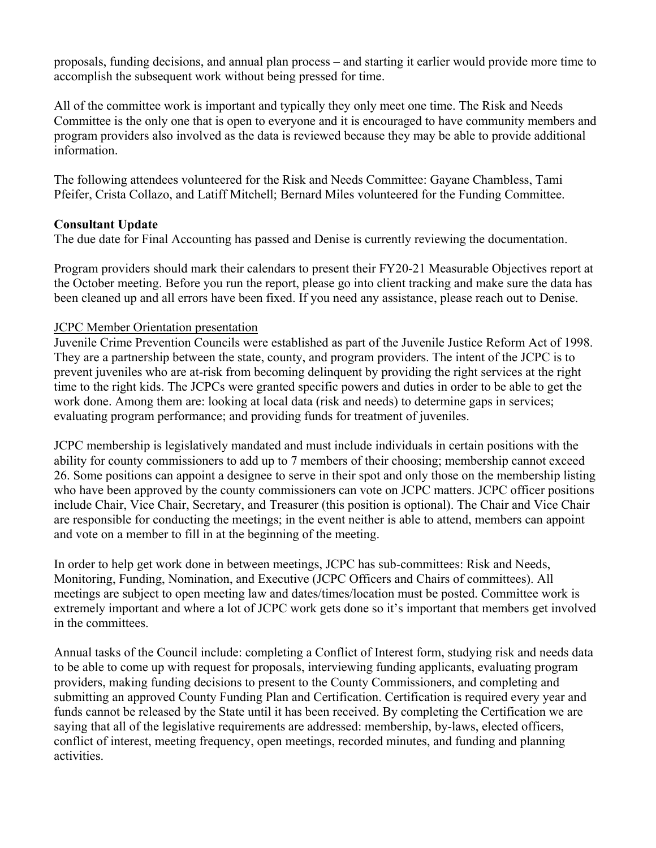proposals, funding decisions, and annual plan process – and starting it earlier would provide more time to accomplish the subsequent work without being pressed for time.

All of the committee work is important and typically they only meet one time. The Risk and Needs Committee is the only one that is open to everyone and it is encouraged to have community members and program providers also involved as the data is reviewed because they may be able to provide additional information.

The following attendees volunteered for the Risk and Needs Committee: Gayane Chambless, Tami Pfeifer, Crista Collazo, and Latiff Mitchell; Bernard Miles volunteered for the Funding Committee.

# **Consultant Update**

The due date for Final Accounting has passed and Denise is currently reviewing the documentation.

Program providers should mark their calendars to present their FY20-21 Measurable Objectives report at the October meeting. Before you run the report, please go into client tracking and make sure the data has been cleaned up and all errors have been fixed. If you need any assistance, please reach out to Denise.

## JCPC Member Orientation presentation

Juvenile Crime Prevention Councils were established as part of the Juvenile Justice Reform Act of 1998. They are a partnership between the state, county, and program providers. The intent of the JCPC is to prevent juveniles who are at-risk from becoming delinquent by providing the right services at the right time to the right kids. The JCPCs were granted specific powers and duties in order to be able to get the work done. Among them are: looking at local data (risk and needs) to determine gaps in services; evaluating program performance; and providing funds for treatment of juveniles.

JCPC membership is legislatively mandated and must include individuals in certain positions with the ability for county commissioners to add up to 7 members of their choosing; membership cannot exceed 26. Some positions can appoint a designee to serve in their spot and only those on the membership listing who have been approved by the county commissioners can vote on JCPC matters. JCPC officer positions include Chair, Vice Chair, Secretary, and Treasurer (this position is optional). The Chair and Vice Chair are responsible for conducting the meetings; in the event neither is able to attend, members can appoint and vote on a member to fill in at the beginning of the meeting.

In order to help get work done in between meetings, JCPC has sub-committees: Risk and Needs, Monitoring, Funding, Nomination, and Executive (JCPC Officers and Chairs of committees). All meetings are subject to open meeting law and dates/times/location must be posted. Committee work is extremely important and where a lot of JCPC work gets done so it's important that members get involved in the committees.

Annual tasks of the Council include: completing a Conflict of Interest form, studying risk and needs data to be able to come up with request for proposals, interviewing funding applicants, evaluating program providers, making funding decisions to present to the County Commissioners, and completing and submitting an approved County Funding Plan and Certification. Certification is required every year and funds cannot be released by the State until it has been received. By completing the Certification we are saying that all of the legislative requirements are addressed: membership, by-laws, elected officers, conflict of interest, meeting frequency, open meetings, recorded minutes, and funding and planning activities.